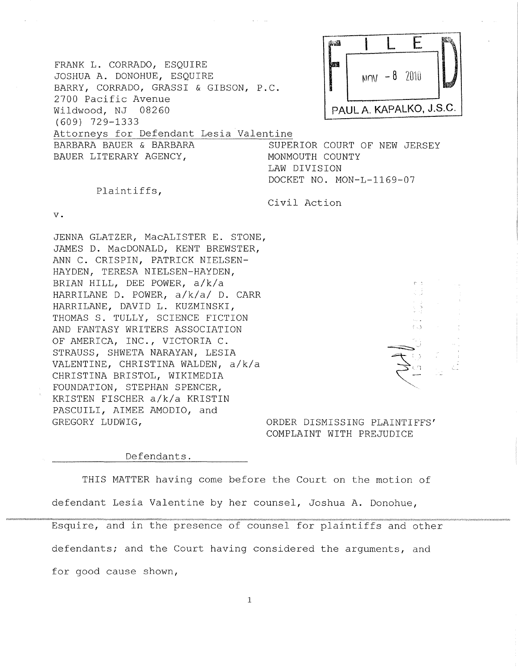|                                                                                                  | 海道                           |                         |                          |      |  |
|--------------------------------------------------------------------------------------------------|------------------------------|-------------------------|--------------------------|------|--|
| FRANK L. CORRADO, ESQUIRE<br>JOSHUA A. DONOHUE, ESQUIRE<br>BARRY, CORRADO, GRASSI & GIBSON, P.C. | 鹽潤                           |                         | $M_{\text{UV}}$ - 8 2010 | ba\$ |  |
| 2700 Pacific Avenue<br>Wildwood, NJ 08260                                                        |                              | PAUL A. KAPALKO, J.S.C. |                          |      |  |
| $(609)$ 729-1333                                                                                 |                              |                         |                          |      |  |
| Attorneys for Defendant Lesia Valentine                                                          |                              |                         |                          |      |  |
| BARBARA BAUER & BARBARA                                                                          | SUPERIOR COURT OF NEW JERSEY |                         |                          |      |  |
| BAUER LITERARY AGENCY,                                                                           | MONMOUTH COUNTY              |                         |                          |      |  |
|                                                                                                  | LAW DIVISION                 |                         |                          |      |  |

DOCKET NO. MON-L-1169-07

## Plaintiffs,

v.

JENNA GLATZER, MacALISTER E. STONE, JAMES D. MacDONALD, KENT BREWSTER, ANN C. CRISPIN, PATRICK NIELSEN-HAYDEN, TERESA NIELSEN-HAYDEN, BRIAN HILL, DEE POWER, a/k/a HARRILANE D. POWER, a/k/a/ D. CARR HARRILANE, DAVID L. KUZMINSKI, THOMAS S. TULLY, SCIENCE FICTION AND FANTASY WRITERS ASSOCIATION OF AMERICA, INC., VICTORIA C. STRAUSS, SHWETA NARAYAN, LESIA VALENTINE, CHRISTINA WALDEN, a/k/a CHRISTINA BRISTOL, WIKIMEDIA FOUNDATION, STEPHAN SPENCER, KRISTEN FISCHER a/k/a KRISTIN PASCUILI, AIMEE AMODIO, and GREGORY LUDWIG,

## Civil Action

ξņ ~~~  $\mathcal{F}$  $\mathcal{Z}^{\scriptscriptstyle(n)}$ ~---~ "

ORDER DISMISSING PLAINTIFFS' COMPLAINT WITH PREJUDICE

## Defendants.

THIS MATTER having come before the Court on the motion of defendant Lesia Valentine by her counsel, Joshua A. Donohue, Esquire, and in the presence of counsel for plaintiffs and other defendants; and the Court having considered the arguments, and

for good cause shown,